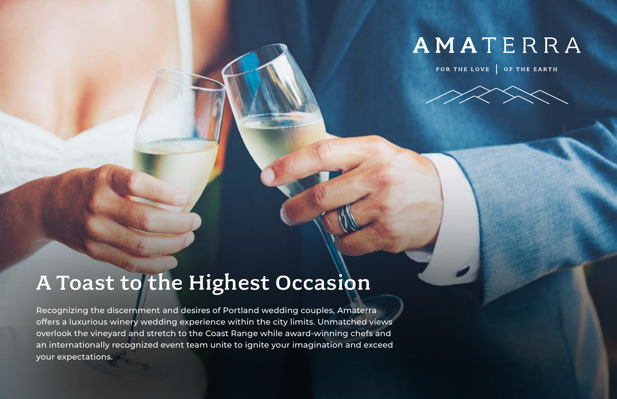

# A Toast to the Highest Occasion

Recognizing the discernment and desires of Portland wedding couples, Amaterra offers a luxurious winery wedding experience within the city limits. Unmatched views overlook the vineyard and stretch to the Coast Range while award-winning chefs and an internationally recognized event team unite to ignite your imagination and exceed your expectations.

# AMATERRA

### FOR THE LOVE | OF THE EARTH

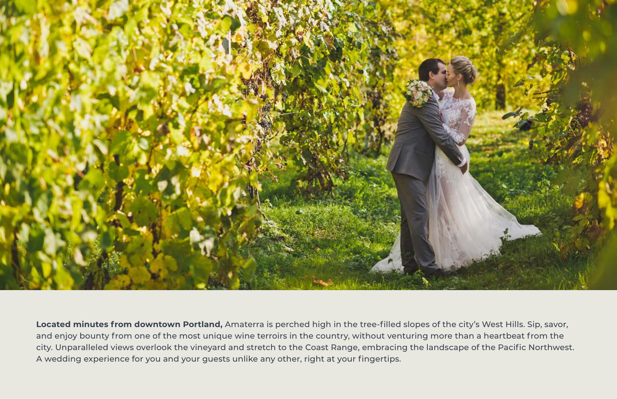

**Located minutes from downtown Portland,** Amaterra is perched high in the tree-filled slopes of the city's West Hills. Sip, savor, and enjoy bounty from one of the most unique wine terroirs in the country, without venturing more than a heartbeat from the city. Unparalleled views overlook the vineyard and stretch to the Coast Range, embracing the landscape of the Pacific Northwest. A wedding experience for you and your guests unlike any other, right at your fingertips.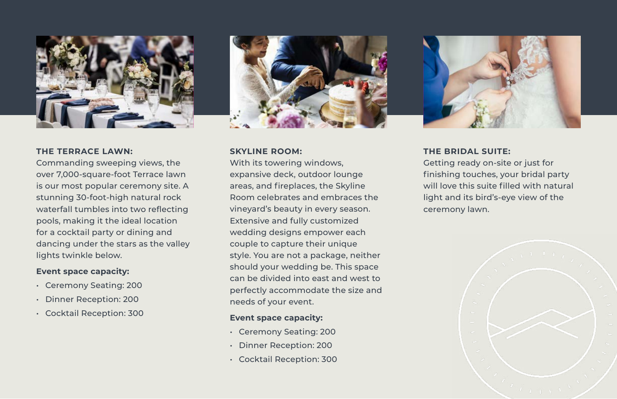

#### **THE TERRACE LAWN:**

Commanding sweeping views, the over 7,000-square-foot Terrace lawn is our most popular ceremony site. A stunning 30-foot-high natural rock waterfall tumbles into two reflecting pools, making it the ideal location for a cocktail party or dining and dancing under the stars as the valley lights twinkle below.

#### **Event space capacity:**

- Ceremony Seating: 200
- Dinner Reception: 200
- Cocktail Reception: 300



### **SKYLINE ROOM:**

With its towering windows, expansive deck, outdoor lounge areas, and fireplaces, the Skyline Room celebrates and embraces the vineyard's beauty in every season. Extensive and fully customized wedding designs empower each couple to capture their unique style. You are not a package, neither should your wedding be. This space can be divided into east and west to perfectly accommodate the size and needs of your event.

#### **Event space capacity:**

- Ceremony Seating: 200
- Dinner Reception: 200
- Cocktail Reception: 300

**THE BRIDAL SUITE:**  Getting ready on-site or just for finishing touches, your bridal party will love this suite filled with natural light and its bird's-eye view of the ceremony lawn.



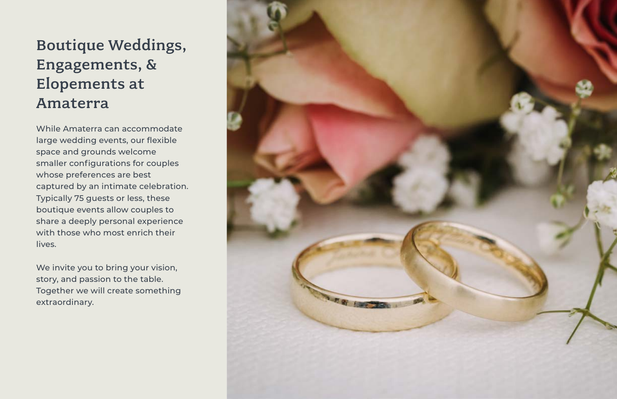## Boutique Weddings, Engagements, & Elopements at Amaterra

While Amaterra can accommodate large wedding events, our flexible space and grounds welcome smaller configurations for couples whose preferences are best captured by an intimate celebration. Typically 75 guests or less, these boutique events allow couples to share a deeply personal experience with those who most enrich their lives.

We invite you to bring your vision, story, and passion to the table. Together we will create something extraordinary.

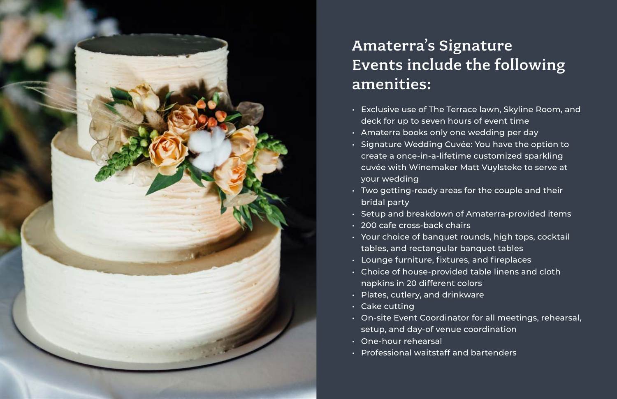

## Amaterra's Signature Events include the following amenities:

• Exclusive use of The Terrace lawn, Skyline Room, and • Signature Wedding Cuvée: You have the option to create a once-in-a-lifetime customized sparkling cuvée with Winemaker Matt Vuylsteke to serve at

• Two getting-ready areas for the couple and their

- deck for up to seven hours of event time
- Amaterra books only one wedding per day
- your wedding
- **bridal party**
- 
- 200 cafe cross-back chairs
- tables, and rectangular banquet tables
- Lounge furniture, fixtures, and fireplaces
- napkins in 20 different colors
- Plates, cutlery, and drinkware
- Cake cutting
- setup, and day-of venue coordination
- One-hour rehearsal
- Professional waitstaff and bartenders

• Setup and breakdown of Amaterra-provided items • Your choice of banquet rounds, high tops, cocktail • Choice of house-provided table linens and cloth

• On-site Event Coordinator for all meetings, rehearsal,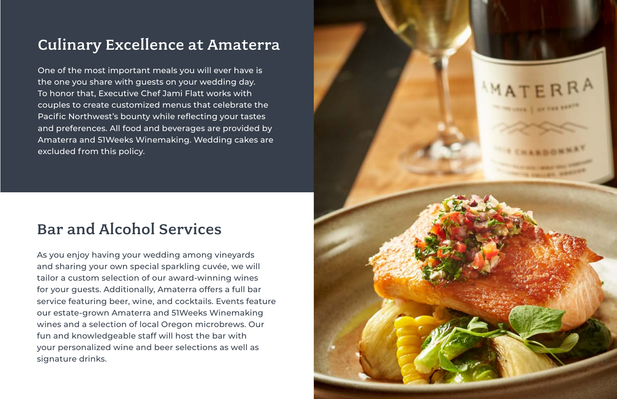### Culinary Excellence at Amaterra

One of the most important meals you will ever have is the one you share with guests on your wedding day. To honor that, Executive Chef Jami Flatt works with couples to create customized menus that celebrate the Pacific Northwest's bounty while reflecting your tastes and preferences. All food and beverages are provided by Amaterra and 51Weeks Winemaking. Wedding cakes are excluded from this policy.

### Bar and Alcohol Services

As you enjoy having your wedding among vineyards and sharing your own special sparkling cuvée, we will tailor a custom selection of our award-winning wines for your guests. Additionally, Amaterra offers a full bar service featuring beer, wine, and cocktails. Events feature our estate-grown Amaterra and 51Weeks Winemaking wines and a selection of local Oregon microbrews. Our fun and knowledgeable staff will host the bar with your personalized wine and beer selections as well as signature drinks.

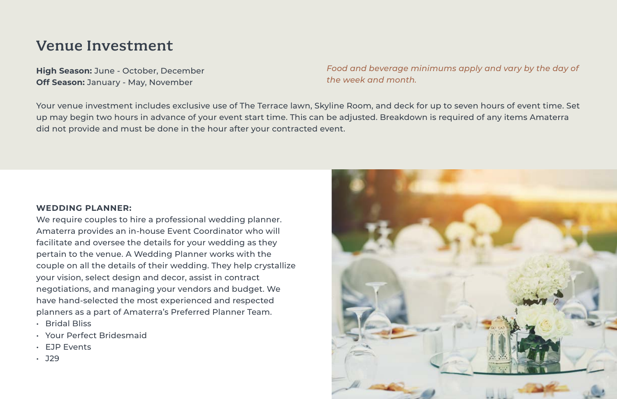### Venue Investment

**High Season:** June - October, December **Off Season:** January - May, November

Your venue investment includes exclusive use of The Terrace lawn, Skyline Room, and deck for up to seven hours of event time. Set up may begin two hours in advance of your event start time. This can be adjusted. Breakdown is required of any items Amaterra did not provide and must be done in the hour after your contracted event.

#### **WEDDING PLANNER:**

We require couples to hire a professional wedding planner. Amaterra provides an in-house Event Coordinator who will facilitate and oversee the details for your wedding as they pertain to the venue. A Wedding Planner works with the couple on all the details of their wedding. They help crystallize your vision, select design and decor, assist in contract negotiations, and managing your vendors and budget. We have hand-selected the most experienced and respected planners as a part of Amaterra's Preferred Planner Team.

- Bridal Bliss
- Your Perfect Bridesmaid
- EJP Events
- J29



### *Food and beverage minimums apply and vary by the day of*

*the week and month.*